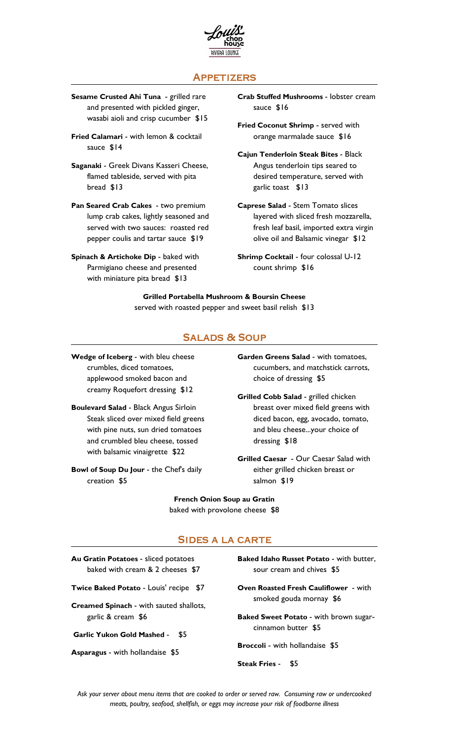

# **APPETIZERS**

- Sesame Crusted Ahi Tuna grilled rare and presented with pickled ginger, wasabi aioli and crisp cucumber \$15
- Fried Calamari with lemon & cocktail **Fried Calamari with lemon & cocktail** orange marmalade sauce \$16 sauce \$14
- Saganaki Greek Divans Kasseri Cheese, flamed tableside, served with pita bread \$13
- Pan Seared Crab Cakes two premium lump crab cakes, lightly seasoned and served with two sauces: roasted red pepper coulis and tartar sauce \$19
- Spinach & Artichoke Dip baked with Parmigiano cheese and presented with miniature pita bread \$13
- Crab Stuffed Mushrooms lobster cream sauce \$16
- Fried Coconut Shrimp served with
- Cajun Tenderloin Steak Bites Black Angus tenderloin tips seared to desired temperature, served with garlic toast \$13
- Caprese Salad Stem Tomato slices layered with sliced fresh mozzarella, fresh leaf basil, imported extra virgin olive oil and Balsamic vinegar \$12
- Shrimp Cocktail four colossal U-12 count shrimp \$16

#### Grilled Portabella Mushroom & Boursin Cheese served with roasted pepper and sweet basil relish \$13

### **SALADS & SOUP**

- Wedge of Iceberg with bleu cheese crumbles, diced tomatoes, applewood smoked bacon and creamy Roquefort dressing \$12
- Boulevard Salad Black Angus Sirloin Steak sliced over mixed field greens with pine nuts, sun dried tomatoes and crumbled bleu cheese, tossed with balsamic vinaigrette \$22<br>Grilled Caesar - Our Caesar Salad with
- Bowl of Soup Du Jour the Chef's daily creation \$5
- Garden Greens Salad with tomatoes, cucumbers, and matchstick carrots, choice of dressing \$5
- Grilled Cobb Salad grilled chicken breast over mixed field greens with diced bacon, egg, avocado, tomato, and bleu cheese...your choice of dressing \$18
- either grilled chicken breast or salmon \$19

French Onion Soup au Gratin baked with provolone cheese \$8

## **SIDES A LA CARTE**

| Au Gratin Potatoes - sliced potatoes | Baked Idaho Russet Potato - with butter, |
|--------------------------------------|------------------------------------------|
| baked with cream & 2 cheeses \$7     | sour cream and chives \$5                |

- 
- smoked gouda mornay \$6 Creamed Spinach with sauted shallots, garlic & cream \$6 Baked Sweet Potato - with brown sugar-
- Garlic Yukon Gold Mashed \$5
- Asparagus with hollandaise \$5
- baked with cream & 2 cheeses \$7 sour cream and chives \$5
- Twice Baked Potato Louis' recipe \$7 Oven Roasted Fresh Cauliflower with
	- cinnamon butter \$5
	- Broccoli with hollandaise \$5
	- Steak Fries \$5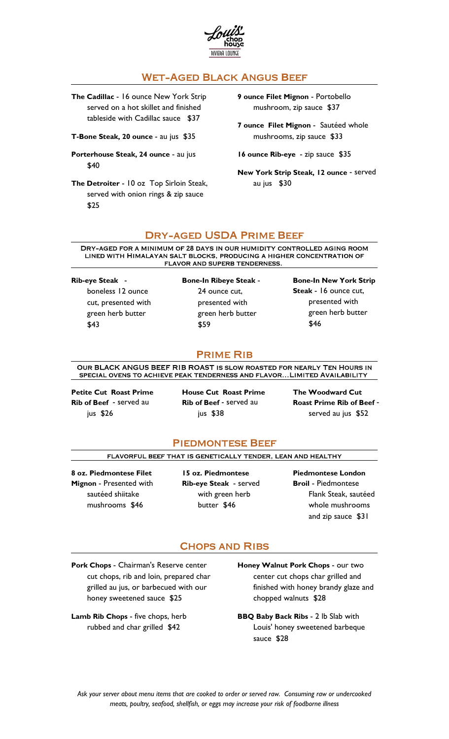

# **WET-AGED BLACK ANGUS BEEF**

The Cadillac - 16 ounce New York Strip served on a hot skillet and finished tableside with Cadillac sauce \$37

T-Bone Steak, 20 ounce - au jus \$35 mushrooms, zip sauce \$33

Porterhouse Steak, 24 ounce - au jus  $$40$ 

The Detroiter - 10 oz Top Sirloin Steak, au jus \$30 served with onion rings & zip sauce  $$25$ 

9 ounce Filet Mignon - Portobello mushroom, zip sauce \$37

7 ounce Filet Mignon - Sautéed whole

16 ounce Rib-eye - zip sauce \$35

New York Strip Steak, 12 ounce - served

#### **DRY-AGED USDA PRIME BEEF**

DRY-AGED FOR A MINIMUM OF 28 DAYS IN OUR HUMIDITY CONTROLLED AGING ROOM LINED WITH HIMALAYAN SALT BLOCKS, PRODUCING A HIGHER CONCENTRATION OF FLAVOR AND SUPERB TENDERNESS.

cut, presented with green herb butter \$43 \$59

Rib-eye Steak - boneless 12 ounce Bone-In Ribeye Steak - 24 ounce cut, green herb butter \$59 \$46

presented with presented with Bone-In New York Strip Steak - 16 ounce cut, green herb butter  $$46$ 

## **PRIME RIB**

OUR BLACK ANGUS BEEF RIB ROAST IS SLOW ROASTED FOR NEARLY TEN HOURS IN SPECIAL OVENS TO ACHIEVE PEAK TENDERNESS AND FLAVOR... LIMITED AVAILABILITY

Rib of Beef - served au jus \$26

Rib of Beef - served au Roast Prime Rib of Beef - served au jus \$52

Petite Cut Roast Prime House Cut Roast Prime served au jus \$52 The Woodward Cut

### **PIEDMONTESE BEEF**

FLAVORFUL BEEF THAT IS GENETICALLY TENDER, LEAN AND HEALTHY

8 oz. Piedmontese Filet mushrooms \$46

sautéed shiitake

Mignon - Presented with **Rib-eye Steak** - served **Broil** - Piedmontese 15 oz. Piedmontese Piedmontese London with green herb Flank Steak, sautéed butter \$46 whole mushrooms Broil - Piedmontese and zip sauce \$31

### **CHOPS AND RIBS**

Pork Chops - Chairman's Reserve center cut chops, rib and loin, prepared char grilled au jus, or barbecued with our honey sweetened sauce \$25

Lamb Rib Chops - five chops, herb rubbed and char grilled \$42

Honey Walnut Pork Chops - our two center cut chops char grilled and finished with honey brandy glaze and chopped walnuts \$28

BBQ Baby Back Ribs - 2 lb Slab with Louis' honey sweetened barbeque sauce \$28

Ask your server about menu items that are cooked to order or served raw. Consuming raw or undercooked meats, poultry, seafood, shellfish, or eggs may increase your risk of foodborne illness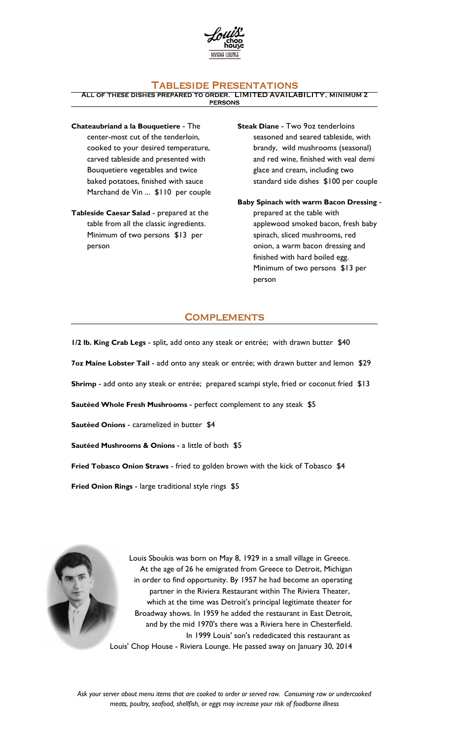

## **TABLESIDE PRESENTATIONS**

ALL OF THESE DISHES PREPARED TO ORDER. LIMITED AVAILABILITY, MINIMUM 2 **PERSONS** 

Chateaubriand a la Bouquetiere - The center-most cut of the tenderloin, cooked to your desired temperature, carved tableside and presented with Bouquetiere vegetables and twice baked potatoes, finished with sauce Marchand de Vin ... \$110 per couple

Tableside Caesar Salad - prepared at the table from all the classic ingredients. Minimum of two persons \$13 per person

Steak Diane - Two 9oz tenderloins seasoned and seared tableside, with brandy, wild mushrooms (seasonal) and red wine, finished with veal demi glace and cream, including two standard side dishes \$100 per couple

Baby Spinach with warm Bacon Dressing - prepared at the table with applewood smoked bacon, fresh baby spinach, sliced mushrooms, red onion, a warm bacon dressing and finished with hard boiled egg. Minimum of two persons \$13 per person

# **COMPLEMENTS**

1/2 lb. King Crab Legs - split, add onto any steak or entrée; with drawn butter \$40 7oz Maine Lobster Tail - add onto any steak or entrée; with drawn butter and lemon \$29 Shrimp - add onto any steak or entrée; prepared scampi style, fried or coconut fried \$13 Sautéed Whole Fresh Mushrooms - perfect complement to any steak \$5 Sautéed Onions - caramelized in butter \$4 Sautéed Mushrooms & Onions - a little of both \$5 Fried Tobasco Onion Straws - fried to golden brown with the kick of Tobasco \$4

Fried Onion Rings - large traditional style rings \$5



Louis Sboukis was born on May 8, 1929 in a small village in Greece. At the age of 26 he emigrated from Greece to Detroit, Michigan in order to find opportunity. By 1957 he had become an operating partner in the Riviera Restaurant within The Riviera Theater, which at the time was Detroit's principal legitimate theater for Broadway shows. In 1959 he added the restaurant in East Detroit, and by the mid 1970's there was a Riviera here in Chesterfield. In 1999 Louis' son's rededicated this restaurant as Louis' Chop House - Riviera Lounge. He passed away on January 30, 2014